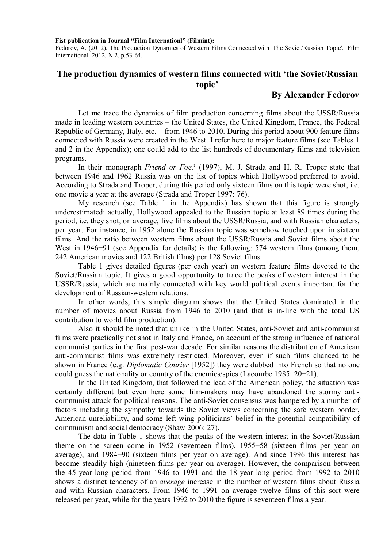**Fist publication in Journal "Film Internationl" (Filmint):**

Fedorov, A. (2012). The Production Dynamics of Western Films Connected with 'The Soviet/Russian Topic'. Film International. 2012. N 2, p.53-64.

# **The production dynamics of western films connected with 'the Soviet/Russian topic'**

## **By Alexander Fedorov**

Let me trace the dynamics of film production concerning films about the USSR/Russia made in leading western countries – the United States, the United Kingdom, France, the Federal Republic of Germany, Italy, etc. – from 1946 to 2010. During this period about 900 feature films connected with Russia were created in the West. I refer here to major feature films (see Tables 1 and 2 in the Appendix); one could add to the list hundreds of documentary films and television programs.

In their monograph *Friend or Foe?* (1997), M. J. Strada and H. R. Troper state that between 1946 and 1962 Russia was on the list of topics which Hollywood preferred to avoid. According to Strada and Troper, during this period only sixteen films on this topic were shot, i.e. one movie a year at the average (Strada and Troper 1997: 76).

My research (see Table 1 in the Appendix) has shown that this figure is strongly underestimated: actually, Hollywood appealed to the Russian topic at least 89 times during the period, i.e. they shot, on average, five films about the USSR/Russia, and with Russian characters, per year. For instance, in 1952 alone the Russian topic was somehow touched upon in sixteen films. And the ratio between western films about the USSR/Russia and Soviet films about the West in 1946−91 (see Appendix for details) is the following: 574 western films (among them, 242 American movies and 122 British films) per 128 Soviet films.

Table 1 gives detailed figures (per each year) on western feature films devoted to the Soviet/Russian topic. It gives a good opportunity to trace the peaks of western interest in the USSR/Russia, which are mainly connected with key world political events important for the development of Russian-western relations.

In other words, this simple diagram shows that the United States dominated in the number of movies about Russia from 1946 to 2010 (and that is in-line with the total US contribution to world film production).

Also it should be noted that unlike in the United States, anti-Soviet and anti-communist films were practically not shot in Italy and France, on account of the strong influence of national communist parties in the first post-war decade. For similar reasons the distribution of American anti-communist films was extremely restricted. Moreover, even if such films chanced to be shown in France (e.g. *Diplomatic Courier* [1952]) they were dubbed into French so that no one could guess the nationality or country of the enemies/spies (Lacourbe 1985: 20−21).

In the United Kingdom, that followed the lead of the American policy, the situation was certainly different but even here some film-makers may have abandoned the stormy anticommunist attack for political reasons. The anti-Soviet consensus was hampered by a number of factors including the sympathy towards the Soviet views concerning the safe western border, American unreliability, and some left-wing politicians' belief in the potential compatibility of communism and social democracy (Shaw 2006: 27).

The data in Table 1 shows that the peaks of the western interest in the Soviet/Russian theme on the screen come in 1952 (seventeen films), 1955−58 (sixteen films per year on average), and 1984−90 (sixteen films per year on average). And since 1996 this interest has become steadily high (nineteen films per year on average). However, the comparison between the 45-year-long period from 1946 to 1991 and the 18-year-long period from 1992 to 2010 shows a distinct tendency of an *average* increase in the number of western films about Russia and with Russian characters. From 1946 to 1991 on average twelve films of this sort were released per year, while for the years 1992 to 2010 the figure is seventeen films a year.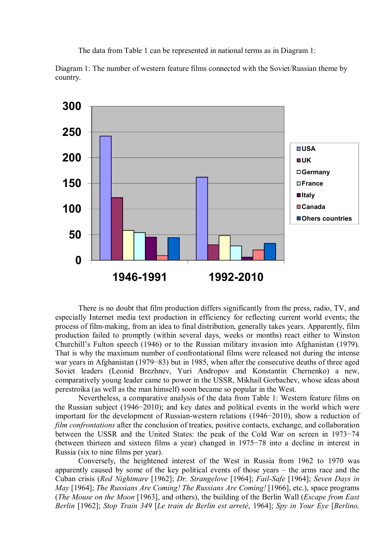The data from Table 1 can be represented in national terms as in Diagram 1:

Diagram 1: The number of western feature films connected with the Soviet/Russian theme by country.



There is no doubt that film production differs significantly from the press, radio, TV, and especially Internet media text production in efficiency for reflecting current world events; the process of film-making, from an idea to final distribution, generally takes years. Apparently, film production failed to promptly (within several days, weeks or months) react either to Winston Churchill's Fulton speech (1946) or to the Russian military invasion into Afghanistan (1979). That is why the maximum number of confrontational films were released not during the intense war years in Afghanistan (1979−83) but in 1985, when after the consecutive deaths of three aged Soviet leaders (Leonid Brezhnev, Yuri Andropov and Konstantin Chernenko) a new, comparatively young leader came to power in the USSR, Mikhail Gorbachev, whose ideas about perestroika (as well as the man himself) soon became so popular in the West.

Nevertheless, a comparative analysis of the data from Table 1: Western feature films on the Russian subject (1946−2010); and key dates and political events in the world which were important for the development of Russian-western relations (1946−2010), show a reduction of *film confrontations* after the conclusion of treaties, positive contacts, exchange, and collaboration between the USSR and the United States: the peak of the Cold War on screen in 1973−74 (between thirteen and sixteen films a year) changed in 1975−78 into a decline in interest in Russia (six to nine films per year).

Conversely, the heightened interest of the West in Russia from 1962 to 1970 was apparently caused by some of the key political events of those years – the arms race and the Cuban crisis (*Red Nightmare* [1962]; *Dr. Strangelove* [1964]; *Fail-Safe* [1964]; *Seven Days in May* [1964]; *The Russians Are Coming! The Russians Are Coming!* [1966], etc.), space programs (*The Mouse on the Moon* [1963], and others), the building of the Berlin Wall (*Escape from East Berlin* [1962]; *Stop Train 349* [*Le train de Berlin est arreté*, 1964]; *Spy in Your Eye* [*Berlino,*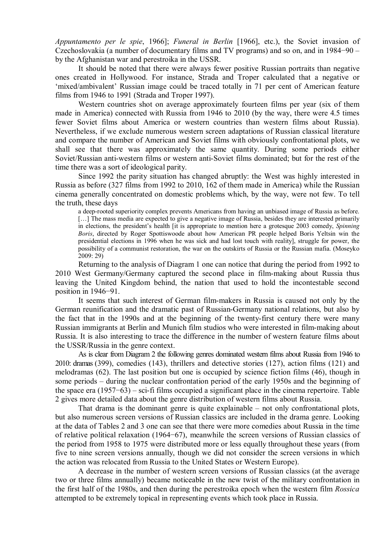*Appuntamento per le spie*, 1966]; *Funeral in Berlin* [1966], etc.), the Soviet invasion of Czechoslovakia (a number of documentary films and TV programs) and so on, and in 1984−90 – by the Afghanistan war and perestroika in the USSR.

It should be noted that there were always fewer positive Russian portraits than negative ones created in Hollywood. For instance, Strada and Troper calculated that a negative or 'mixed/ambivalent' Russian image could be traced totally in 71 per cent of American feature films from 1946 to 1991 (Strada and Troper 1997).

Western countries shot on average approximately fourteen films per year (six of them made in America) connected with Russia from 1946 to 2010 (by the way, there were 4.5 times fewer Soviet films about America or western countries than western films about Russia). Nevertheless, if we exclude numerous western screen adaptations of Russian classical literature and compare the number of American and Soviet films with obviously confrontational plots, we shall see that there was approximately the same quantity. During some periods either Soviet/Russian anti-western films or western anti-Soviet films dominated; but for the rest of the time there was a sort of ideological parity.

Since 1992 the parity situation has changed abruptly: the West was highly interested in Russia as before (327 films from 1992 to 2010, 162 of them made in America) while the Russian cinema generally concentrated on domestic problems which, by the way, were not few. To tell the truth, these days

a deep-rooted superiority complex prevents Americans from having an unbiased image of Russia as before. [...] The mass media are expected to give a negative image of Russia, besides they are interested primarily in elections, the president's health [it is appropriate to mention here a grotesque 2003 comedy, *Spinning Boris*, directed by Roger Spottiswoode about how American PR people helped Boris Yeltsin win the presidential elections in 1996 when he was sick and had lost touch with reality], struggle for power, the possibility of a communist restoration, the war on the outskirts of Russia or the Russian mafia. (Moseyko 2009: 29)

Returning to the analysis of Diagram 1 one can notice that during the period from 1992 to 2010 West Germany/Germany captured the second place in film-making about Russia thus leaving the United Kingdom behind, the nation that used to hold the incontestable second position in 1946−91.

It seems that such interest of German film-makers in Russia is caused not only by the German reunification and the dramatic past of Russian-Germany national relations, but also by the fact that in the 1990s and at the beginning of the twenty-first century there were many Russian immigrants at Berlin and Munich film studios who were interested in film-making about Russia. It is also interesting to trace the difference in the number of western feature films about the USSR/Russia in the genre context.

As is clear from Diagram 2 the following genres dominated western films about Russia from 1946 to 2010: dramas (399), comedies (143), thrillers and detective stories (127), action films (121) and melodramas (62). The last position but one is occupied by science fiction films (46), though in some periods – during the nuclear confrontation period of the early 1950s and the beginning of the space era (1957−63) – sci-fi films occupied a significant place in the cinema repertoire. Table 2 gives more detailed data about the genre distribution of western films about Russia.

That drama is the dominant genre is quite explainable – not only confrontational plots, but also numerous screen versions of Russian classics are included in the drama genre. Looking at the data of Tables 2 and 3 one can see that there were more comedies about Russia in the time of relative political relaxation (1964−67), meanwhile the screen versions of Russian classics of the period from 1958 to 1975 were distributed more or less equally throughout these years (from five to nine screen versions annually, though we did not consider the screen versions in which the action was relocated from Russia to the United States or Western Europe).

A decrease in the number of western screen versions of Russian classics (at the average two or three films annually) became noticeable in the new twist of the military confrontation in the first half of the 1980s, and then during the perestroika epoch when the western film *Rossica* attempted to be extremely topical in representing events which took place in Russia.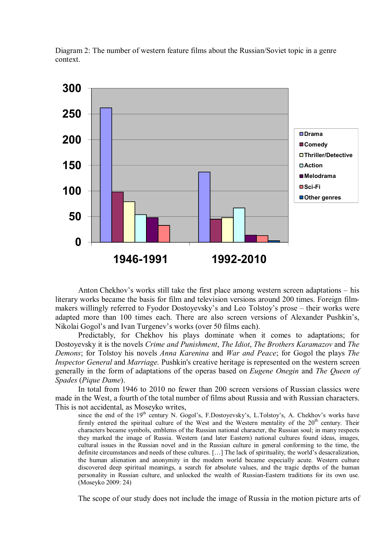

Diagram 2: The number of western feature films about the Russian/Soviet topic in a genre context.

Anton Chekhov's works still take the first place among western screen adaptations – his literary works became the basis for film and television versions around 200 times. Foreign filmmakers willingly referred to Fyodor Dostoyevsky's and Leo Tolstoy's prose – their works were adapted more than 100 times each. There are also screen versions of Alexander Pushkin's, Nikolai Gogol's and Ivan Turgenev's works (over 50 films each).

Predictably, for Chekhov his plays dominate when it comes to adaptations; for Dostoyevsky it is the novels *Crime and Punishment*, *The Idiot*, *The Brothers Karamazov* and *The Demons*; for Tolstoy his novels *Anna Karenina* and *War and Peace*; for Gogol the plays *The Inspector General* and *Marriage.* Pushkin's creative heritage is represented on the western screen generally in the form of adaptations of the operas based on *Eugene Onegin* and *The Queen of Spades* (*Pique Dame*).

In total from 1946 to 2010 no fewer than 200 screen versions of Russian classics were made in the West, a fourth of the total number of films about Russia and with Russian characters. This is not accidental, as Moseyko writes,

since the end of the  $19<sup>th</sup>$  century N. Gogol's, F.Dostoyevsky's, L.Tolstoy's, A. Chekhov's works have firmly entered the spiritual culture of the West and the Western mentality of the  $20<sup>th</sup>$  century. Their characters became symbols, emblems of the Russian national character, the Russian soul; in many respects they marked the image of Russia. Western (and later Eastern) national cultures found ideas, images, cultural issues in the Russian novel and in the Russian culture in general conforming to the time, the definite circumstances and needs of these cultures. […] The lack of spirituality, the world's desacralization, the human alienation and anonymity in the modern world became especially acute. Western culture discovered deep spiritual meanings, a search for absolute values, and the tragic depths of the human personality in Russian culture, and unlocked the wealth of Russian-Eastern traditions for its own use. (Moseyko 2009: 24)

The scope of our study does not include the image of Russia in the motion picture arts of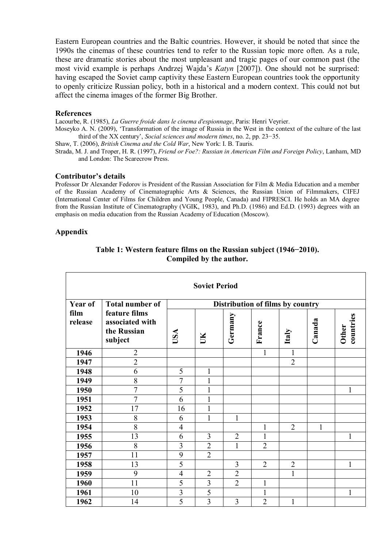Eastern European countries and the Baltic countries. However, it should be noted that since the 1990s the cinemas of these countries tend to refer to the Russian topic more often. As a rule, these are dramatic stories about the most unpleasant and tragic pages of our common past (the most vivid example is perhaps Andrzej Wajda's *Katyn* [2007]). One should not be surprised: having escaped the Soviet camp captivity these Eastern European countries took the opportunity to openly criticize Russian policy, both in a historical and a modern context. This could not but affect the cinema images of the former Big Brother.

#### **References**

Lacourbe, R. (1985), *La Guerre froide dans le cinema d'espionnage*, Paris: Henri Veyrier.

Moseyko A. N. (2009), 'Transformation of the image of Russia in the West in the context of the culture of the last third of the XX century', *Social sciences and modern times*, no. 2, pp. 23−35.

Shaw, T. (2006), *British Cinema and the Cold War*, New York: I. B. Tauris.

Strada, M. J. and Troper, H. R. (1997), *Friend or Foe?: Russian in American Film and Foreign Policy*, Lanham, MD and London: The Scarecrow Press.

#### **Contributor's details**

Professor Dr Alexander Fedorov is President of the Russian Association for Film & Media Education and a member of the Russian Academy of Cinematographic Arts & Sciences, the Russian Union of Filmmakers, CIFEJ (International Center of Films for Children and Young People, Canada) and FIPRESCI. He holds an MA degree from the Russian Institute of Cinematography (VGIK, 1983), and Ph.D. (1986) and Ed.D. (1993) degrees with an emphasis on media education from the Russian Academy of Education (Moscow).

#### **Appendix**

| <b>Soviet Period</b> |                                                            |                                  |                |                |                |                |              |                    |  |  |  |  |
|----------------------|------------------------------------------------------------|----------------------------------|----------------|----------------|----------------|----------------|--------------|--------------------|--|--|--|--|
| Year of              | <b>Total number of</b>                                     | Distribution of films by country |                |                |                |                |              |                    |  |  |  |  |
| film<br>release      | feature films<br>associated with<br>the Russian<br>subject | USA                              | UK             | Germany        | France         | Italy          | Canada       | countries<br>Other |  |  |  |  |
| 1946                 | $\overline{2}$                                             |                                  |                |                | $\mathbf{1}$   | $\mathbf{1}$   |              |                    |  |  |  |  |
| 1947                 | $\overline{2}$                                             |                                  |                |                |                | $\overline{2}$ |              |                    |  |  |  |  |
| 1948                 | 6                                                          | 5                                | $\mathbf{1}$   |                |                |                |              |                    |  |  |  |  |
| 1949                 | 8                                                          | $\overline{7}$                   | $\mathbf{1}$   |                |                |                |              |                    |  |  |  |  |
| 1950                 | $\overline{7}$                                             | 5                                | 1              |                |                |                |              | $\mathbf{1}$       |  |  |  |  |
| 1951                 | $\overline{7}$                                             | 6                                | 1              |                |                |                |              |                    |  |  |  |  |
| 1952                 | 17                                                         | 16                               | 1              |                |                |                |              |                    |  |  |  |  |
| 1953                 | 8                                                          | 6                                | 1              | 1              |                |                |              |                    |  |  |  |  |
| 1954                 | 8                                                          | $\overline{4}$                   |                |                | 1              | $\overline{2}$ | $\mathbf{1}$ |                    |  |  |  |  |
| 1955                 | 13                                                         | 6                                | 3              | $\overline{2}$ | 1              |                |              | 1                  |  |  |  |  |
| 1956                 | 8                                                          | $\overline{3}$                   | $\overline{2}$ | 1              | $\overline{2}$ |                |              |                    |  |  |  |  |
| 1957                 | 11                                                         | 9                                | $\overline{2}$ |                |                |                |              |                    |  |  |  |  |
| 1958                 | 13                                                         | $\overline{5}$                   |                | 3              | $\overline{2}$ | $\overline{2}$ |              | $\mathbf{1}$       |  |  |  |  |
| 1959                 | 9                                                          | $\overline{4}$                   | $\overline{2}$ | $\overline{2}$ |                | 1              |              |                    |  |  |  |  |
| 1960                 | 11                                                         | 5                                | 3              | $\overline{2}$ | 1              |                |              |                    |  |  |  |  |
| 1961                 | 10                                                         | $\overline{\mathbf{3}}$          | 5              |                | 1              |                |              | 1                  |  |  |  |  |
| 1962                 | 14                                                         | 5                                | $\overline{3}$ | 3              | $\overline{2}$ | 1              |              |                    |  |  |  |  |

### **Table 1: Western feature films on the Russian subject (1946−2010). Compiled by the author.**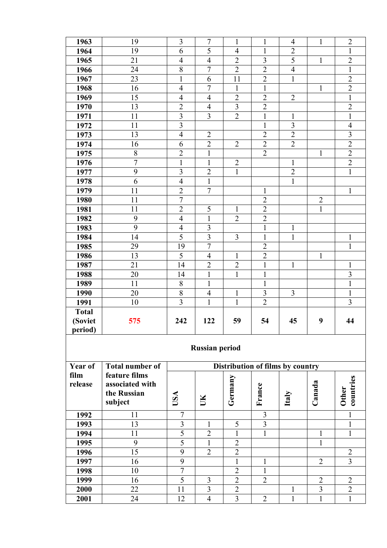| 1963         | 19                     | $\overline{3}$          | $\overline{7}$        | $\mathbf{1}$                     | $\mathbf{1}$   | $\overline{4}$ | $\mathbf{1}$   | $\overline{2}$ |
|--------------|------------------------|-------------------------|-----------------------|----------------------------------|----------------|----------------|----------------|----------------|
| 1964         | 19                     | 6                       | 5                     | $\overline{4}$                   | $\mathbf{1}$   | $\overline{2}$ |                | $\mathbf{1}$   |
| 1965         | 21                     | $\overline{4}$          | $\overline{4}$        | $\overline{2}$                   | 3              | $\overline{5}$ | $\mathbf{1}$   | $\overline{2}$ |
| 1966         | 24                     | 8                       | $\overline{7}$        | $\overline{2}$                   | $\overline{2}$ | $\overline{4}$ |                | $\mathbf{1}$   |
| 1967         | 23                     | $\mathbf{1}$            | 6                     | 11                               | $\overline{2}$ | 1              |                | $\overline{2}$ |
| 1968         | 16                     | $\overline{4}$          | $\overline{7}$        | $\mathbf{1}$                     | $\mathbf{1}$   |                | $\mathbf{1}$   | $\overline{2}$ |
| 1969         | 15                     | $\overline{4}$          | $\overline{4}$        | $\overline{2}$                   | $\overline{2}$ | $\overline{2}$ |                | $\mathbf{1}$   |
| 1970         | 13                     | $\overline{2}$          | $\overline{4}$        | $\overline{3}$                   | $\overline{2}$ |                |                | $\overline{2}$ |
| 1971         | 11                     | $\overline{3}$          | 3                     | $\overline{2}$                   | $\mathbf{1}$   | 1              |                | $\mathbf{1}$   |
| 1972         | 11                     | $\overline{3}$          |                       |                                  | $\mathbf{1}$   | 3              |                | $\overline{4}$ |
| 1973         | 13                     | $\overline{4}$          | $\overline{2}$        |                                  | $\overline{2}$ | $\overline{2}$ |                | $\mathfrak{Z}$ |
| 1974         | 16                     | 6                       | $\overline{2}$        | $\overline{2}$                   | $\overline{2}$ | $\overline{2}$ |                | $\overline{2}$ |
| 1975         | $\,8\,$                | $\overline{2}$          | $\mathbf{1}$          |                                  | $\overline{2}$ |                | $\mathbf{1}$   | $\overline{2}$ |
| 1976         | $\overline{7}$         | $\mathbf{1}$            | $\mathbf{1}$          | $\overline{2}$                   |                | $\mathbf{1}$   |                | $\overline{2}$ |
| 1977         | 9                      | $\overline{\mathbf{3}}$ | $\overline{2}$        | $\mathbf{1}$                     |                | $\overline{2}$ |                | $\overline{1}$ |
| 1978         | 6                      | $\overline{4}$          | $\mathbf{1}$          |                                  |                | $\mathbf{1}$   |                |                |
| 1979         | 11                     | $\overline{2}$          | $\overline{7}$        |                                  | $\mathbf{1}$   |                |                | $\mathbf{1}$   |
| 1980         | 11                     | $\overline{7}$          |                       |                                  | $\overline{2}$ |                | $\overline{2}$ |                |
| 1981         | 11                     | $\overline{2}$          | 5                     | $\mathbf{1}$                     | $\overline{2}$ |                | $\mathbf{1}$   |                |
| 1982         | 9                      | $\overline{4}$          | $\mathbf{1}$          | $\overline{2}$                   | $\overline{2}$ |                |                |                |
| 1983         | 9                      | $\overline{4}$          | 3                     |                                  | $\mathbf{1}$   | 1              |                |                |
| 1984         | 14                     | 5                       | 3                     | 3                                | $\mathbf{1}$   | 1              |                | $\mathbf{1}$   |
| 1985         | 29                     | 19                      | $\overline{7}$        |                                  | $\overline{2}$ |                |                | $\mathbf{1}$   |
| 1986         | 13                     | 5                       | $\overline{4}$        | $\mathbf{1}$                     | $\overline{2}$ |                | $\mathbf{1}$   |                |
| 1987         | 21                     | 14                      | $\overline{2}$        | $\sqrt{2}$                       | $\mathbf{1}$   | $\mathbf{1}$   |                | $\mathbf{1}$   |
| 1988         | 20                     | 14                      | $\mathbf{1}$          | $\mathbf{1}$                     | $\mathbf{1}$   |                |                | $\overline{3}$ |
| 1989         | 11                     | 8                       | $\mathbf{1}$          |                                  | $\mathbf{1}$   |                |                | $\mathbf{1}$   |
| 1990         | 20                     | 8                       | $\overline{4}$        | $\mathbf{1}$                     | $\overline{3}$ | 3              |                | $\mathbf{1}$   |
| 1991         | 10                     | $\overline{3}$          | $\mathbf{1}$          | $\mathbf{1}$                     | $\overline{2}$ |                |                | $\overline{3}$ |
| <b>Total</b> |                        |                         |                       |                                  |                |                |                |                |
| (Soviet      | 575                    | 242                     | 122                   | 59                               | 54             | 45             | 9              | 44             |
| period)      |                        |                         |                       |                                  |                |                |                |                |
|              |                        |                         | <b>Russian period</b> |                                  |                |                |                |                |
|              |                        |                         |                       |                                  |                |                |                |                |
| Year of      | <b>Total number of</b> |                         |                       | Distribution of films by country |                |                |                |                |
| film         | feature films          |                         |                       |                                  |                |                |                |                |
| release      | associated with        |                         |                       | Germany                          |                |                |                | countries      |
|              | the Russian            |                         |                       |                                  | France         |                | Canada         | <b>Other</b>   |
|              | subject                | USA                     | UK                    |                                  |                | Italy          |                |                |
| 1992         | 11                     | 7                       |                       |                                  | $\overline{3}$ |                |                | $\mathbf{1}$   |
| 1993         | 13                     | $\overline{\mathbf{3}}$ | $\mathbf{1}$          | 5                                | $\overline{3}$ |                |                | $\mathbf{1}$   |
| 1994         | 11                     | $\overline{5}$          | $\overline{2}$        | $\mathbf{1}$                     | $\mathbf{1}$   |                | 1              | $\mathbf{1}$   |
| 1995         | 9                      | $\overline{5}$          | $\mathbf{1}$          | $\overline{2}$                   |                |                | $\mathbf{1}$   |                |
| 1996         | 15                     | 9                       | $\overline{2}$        | $\overline{2}$                   |                |                |                | $\overline{2}$ |
| 1997         | 16                     | $\overline{9}$          |                       | $\mathbf{1}$                     | $\mathbf{1}$   |                | $\overline{2}$ | $\overline{3}$ |
| 1998         | 10                     | $\overline{7}$          |                       | $\overline{2}$                   | $\mathbf{1}$   |                |                |                |
| 1999         | 16                     | $\overline{5}$          | 3                     | $\overline{2}$                   | $\overline{2}$ |                | $\overline{2}$ | $\overline{2}$ |
| 2000         |                        |                         |                       |                                  |                |                |                | $\overline{2}$ |
|              | 22                     | 11                      | 3                     | $\overline{2}$                   |                | 1              | 3              |                |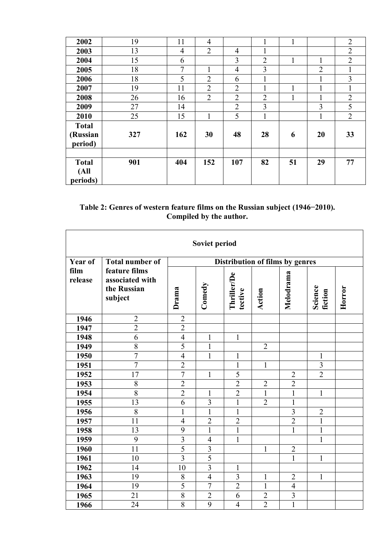| 2002                                           | 19  | 11            | $\overline{4}$ |                | 1              | 1  |                | $\overline{2}$ |
|------------------------------------------------|-----|---------------|----------------|----------------|----------------|----|----------------|----------------|
| 2003                                           | 13  | 4             | $\overline{2}$ | $\overline{4}$ |                |    |                | $\overline{2}$ |
| 2004                                           | 15  | 6             |                | 3              | $\overline{2}$ | 1  |                | 2              |
| 2005                                           | 18  | $\mathcal{I}$ |                | $\overline{4}$ | $\overline{3}$ |    | $\overline{2}$ |                |
| 2006                                           | 18  | 5             | $\overline{2}$ | 6              | 1              |    | л.             | 3              |
| 2007                                           | 19  | 11            | $\overline{2}$ | $\overline{2}$ | 1              | 1  | $\mathbf{1}$   |                |
| 2008                                           | 26  | 16            | $\overline{2}$ | $\overline{2}$ | $\overline{2}$ |    |                | $\overline{2}$ |
| 2009                                           | 27  | 14            |                | $\overline{2}$ | $\overline{3}$ |    | 3              | 5              |
| 2010                                           | 25  | 15            | 1              | 5              | 1              |    | 1              | 2              |
| <b>Total</b><br>(Russian<br>period)            | 327 | 162           | 30             | 48             | 28             | 6  | 20             | 33             |
| <b>Total</b><br>(A <sup>II</sup> )<br>periods) | 901 | 404           | 152            | 107            | 82             | 51 | 29             | 77             |

### **Table 2: Genres of western feature films on the Russian subject (1946−2010). Compiled by the author.**

| Soviet period   |                                                            |                |                         |                                 |                |                |                    |        |  |  |  |  |  |
|-----------------|------------------------------------------------------------|----------------|-------------------------|---------------------------------|----------------|----------------|--------------------|--------|--|--|--|--|--|
| Year of         | <b>Total number of</b>                                     |                |                         | Distribution of films by genres |                |                |                    |        |  |  |  |  |  |
| film<br>release | feature films<br>associated with<br>the Russian<br>subject | Drama          | Comedy                  | <b>Thriller/De</b><br>tective   | Action         | Melodrama      | Science<br>fiction | Horror |  |  |  |  |  |
| 1946            | $\overline{2}$                                             | $\overline{2}$ |                         |                                 |                |                |                    |        |  |  |  |  |  |
| 1947            | $\overline{2}$                                             | $\overline{2}$ |                         |                                 |                |                |                    |        |  |  |  |  |  |
| 1948            | 6                                                          | $\overline{4}$ | 1                       | 1                               |                |                |                    |        |  |  |  |  |  |
| 1949            | $\overline{8}$                                             | $\overline{5}$ | $\mathbf{1}$            |                                 | $\overline{2}$ |                |                    |        |  |  |  |  |  |
| 1950            | $\overline{7}$                                             | $\overline{4}$ | $\mathbf{1}$            | $\mathbf{1}$                    |                |                | $\mathbf{1}$       |        |  |  |  |  |  |
| 1951            | $\overline{7}$                                             | $\overline{2}$ |                         | $\mathbf{1}$                    | $\mathbf{1}$   |                | $\overline{3}$     |        |  |  |  |  |  |
| 1952            | 17                                                         | $\overline{7}$ | $\mathbf{1}$            | 5                               |                | $\overline{2}$ | $\overline{2}$     |        |  |  |  |  |  |
| 1953            | $\overline{8}$                                             | $\overline{2}$ |                         | $\overline{2}$                  | $\overline{2}$ | $\overline{2}$ |                    |        |  |  |  |  |  |
| 1954            | 8                                                          | $\overline{2}$ | 1                       | $\overline{2}$                  | $\mathbf{1}$   | $\mathbf{1}$   | $\mathbf{1}$       |        |  |  |  |  |  |
| 1955            | 13                                                         | 6              | $\overline{\mathbf{3}}$ | $\mathbf{1}$                    | $\overline{2}$ | $\mathbf 1$    |                    |        |  |  |  |  |  |
| 1956            | 8                                                          | $\mathbf{1}$   | $\mathbf{1}$            | $\mathbf{1}$                    |                | $\overline{3}$ | $\overline{2}$     |        |  |  |  |  |  |
| 1957            | 11                                                         | $\overline{4}$ | $\overline{2}$          | $\overline{2}$                  |                | $\overline{2}$ | $\mathbf{1}$       |        |  |  |  |  |  |
| 1958            | 13                                                         | 9              | $\mathbf{1}$            | $\mathbf{1}$                    |                | $\mathbf{1}$   | $\mathbf{1}$       |        |  |  |  |  |  |
| 1959            | 9                                                          | $\overline{3}$ | $\overline{4}$          | $\mathbf{1}$                    |                |                | $\mathbf{1}$       |        |  |  |  |  |  |
| 1960            | 11                                                         | $\overline{5}$ | $\overline{3}$          |                                 | 1              | $\overline{2}$ |                    |        |  |  |  |  |  |
| 1961            | 10                                                         | $\overline{3}$ | $\overline{5}$          |                                 |                | $\mathbf{1}$   | $\mathbf{1}$       |        |  |  |  |  |  |
| 1962            | 14                                                         | 10             | $\overline{3}$          | 1                               |                |                |                    |        |  |  |  |  |  |
| 1963            | 19                                                         | 8              | $\overline{4}$          | $\overline{3}$                  | $\mathbf{1}$   | $\overline{2}$ | $\mathbf{1}$       |        |  |  |  |  |  |
| 1964            | 19                                                         | $\overline{5}$ | $\overline{7}$          | $\overline{2}$                  | $\mathbf{1}$   | $\overline{4}$ |                    |        |  |  |  |  |  |
| 1965            | 21                                                         | 8              | $\overline{2}$          | 6                               | $\overline{c}$ | $\overline{3}$ |                    |        |  |  |  |  |  |
| 1966            | 24                                                         | 8              | 9                       | $\overline{4}$                  | $\overline{2}$ | $\mathbf{1}$   |                    |        |  |  |  |  |  |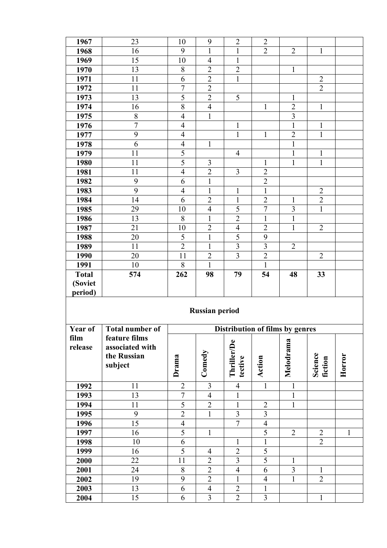| 1967         |                 |                          |                                  |                                  |                                  |                                |                                |              |
|--------------|-----------------|--------------------------|----------------------------------|----------------------------------|----------------------------------|--------------------------------|--------------------------------|--------------|
|              | 23              | 10                       | 9                                | $\overline{2}$                   | $\overline{2}$                   |                                |                                |              |
| 1968         | 16              | 9                        | $\mathbf{1}$                     | $\mathbf{1}$                     | $\overline{2}$                   | $\overline{2}$                 | $\mathbf{1}$                   |              |
| 1969         | 15              | 10                       | $\overline{4}$                   | $\mathbf{1}$                     |                                  |                                |                                |              |
| 1970         | 13              | 8                        | $\overline{2}$                   | $\overline{2}$                   |                                  | $\mathbf{1}$                   |                                |              |
| 1971         | 11              | 6                        | $\overline{2}$                   | $\mathbf{1}$                     |                                  |                                | $\overline{2}$                 |              |
| 1972         | 11              | $\overline{7}$           | $\overline{2}$                   |                                  |                                  |                                | $\overline{2}$                 |              |
| 1973         | 13              | $\overline{5}$           | $\overline{2}$                   | 5                                |                                  | $\mathbf{1}$                   |                                |              |
| 1974         | 16              | $\overline{8}$           | $\overline{4}$                   |                                  | $\mathbf{1}$                     | $\overline{2}$                 | $\mathbf{1}$                   |              |
| 1975         | $\,8\,$         | $\overline{4}$           | $\mathbf{1}$                     |                                  |                                  | $\overline{3}$                 |                                |              |
| 1976         | $\overline{7}$  | $\overline{4}$           |                                  | $\mathbf{1}$                     |                                  | $\mathbf{1}$                   | $\mathbf{1}$                   |              |
| 1977         | 9               | $\overline{4}$           |                                  | $\mathbf{1}$                     | $\mathbf{1}$                     | $\overline{2}$                 | $\mathbf{1}$                   |              |
| 1978         | 6               | $\overline{4}$           | $\mathbf{1}$                     |                                  |                                  | 1                              |                                |              |
| 1979         | 11              | $\overline{5}$           |                                  | $\overline{4}$                   |                                  | 1                              | $\mathbf{1}$                   |              |
| 1980         | 11              | 5                        | 3                                |                                  | $\mathbf{1}$                     | $\mathbf{1}$                   | $\mathbf{1}$                   |              |
| 1981         | 11              | $\overline{\mathcal{A}}$ | $\overline{2}$                   | 3                                | $\overline{2}$                   |                                |                                |              |
| 1982         | 9               | 6                        | $\mathbf{1}$                     |                                  | $\overline{2}$                   |                                |                                |              |
| 1983         | 9               | $\overline{4}$           | $\mathbf{1}$                     | $\mathbf{1}$                     | $\mathbf{1}$                     |                                | $\overline{2}$                 |              |
| 1984         | 14              | 6                        | $\sqrt{2}$                       | $\mathbf{1}$                     | $\sqrt{2}$                       | 1                              | $\overline{c}$                 |              |
| 1985         | 29              | 10                       | $\overline{4}$                   | $\overline{5}$                   | $\overline{7}$                   | $\overline{\mathbf{3}}$        | $\overline{1}$                 |              |
| 1986         | 13              | 8                        | $\mathbf{1}$                     | $\overline{2}$                   | $\mathbf{1}$                     | $\mathbf 1$                    |                                |              |
| 1987         | 21              | 10                       | $\overline{2}$                   | $\overline{4}$                   | $\overline{2}$                   | $\mathbf{1}$                   | $\overline{2}$                 |              |
| 1988         | 20              | 5                        | $\mathbf{1}$                     | $\overline{5}$                   | 9                                |                                |                                |              |
| 1989         | 11              | $\overline{2}$           | $\mathbf{1}$                     | $\overline{\mathbf{3}}$          | $\overline{3}$                   | $\sqrt{2}$                     |                                |              |
| 1990         | 20              | 11                       | $\sqrt{2}$                       | $\overline{3}$                   | $\overline{2}$                   |                                | $\overline{2}$                 |              |
| 1991         | 10              | 8                        | $\mathbf{1}$                     |                                  | $\mathbf{1}$                     |                                |                                |              |
| <b>Total</b> | 574             | 262                      | 98                               | 79                               | 54                               | 48                             | 33                             |              |
| (Soviet      |                 |                          |                                  |                                  |                                  |                                |                                |              |
|              |                 |                          |                                  |                                  |                                  |                                |                                |              |
| period)      |                 |                          |                                  |                                  |                                  |                                |                                |              |
|              |                 |                          | <b>Russian period</b>            |                                  |                                  |                                |                                |              |
|              |                 |                          |                                  |                                  |                                  |                                |                                |              |
| Year of      | Total number of |                          |                                  | Distribution of films by genres  |                                  |                                |                                |              |
| film         | feature films   |                          |                                  |                                  |                                  |                                |                                |              |
| release      | associated with |                          |                                  |                                  |                                  |                                |                                |              |
|              | the Russian     |                          |                                  |                                  |                                  |                                |                                |              |
|              | subject         |                          |                                  |                                  |                                  |                                |                                |              |
|              |                 | Drama                    | Comedy                           | <b>Thriller/De</b><br>tective    | Action                           | Melodrama                      | Science<br>fiction             | Horror       |
| 1992         | 11              | $\overline{2}$           | $\overline{3}$                   | $\overline{4}$                   | $\mathbf{1}$                     | $\mathbf{1}$                   |                                |              |
| 1993         | 13              | $\overline{7}$           | $\overline{4}$                   | $\mathbf{1}$                     |                                  | $\mathbf{1}$                   |                                |              |
| 1994         | 11              | 5                        | $\sqrt{2}$                       | $\mathbf{1}$                     | $\overline{2}$                   | $\mathbf{1}$                   |                                |              |
| 1995         | $\mathbf{9}$    | $\overline{2}$           | $\overline{1}$                   | $\overline{\mathbf{3}}$          |                                  |                                |                                |              |
| 1996         | $\overline{15}$ | $\overline{4}$           |                                  | $\overline{7}$                   | $\frac{3}{4}$                    |                                |                                |              |
| 1997         | 16              | $\overline{5}$           | $\mathbf{1}$                     |                                  | $\overline{5}$                   | $\overline{2}$                 | $\overline{2}$                 | $\mathbf{1}$ |
| 1998         | 10              | $\overline{6}$           |                                  | $\mathbf{1}$                     | $\overline{1}$                   |                                | $\overline{2}$                 |              |
| 1999         | 16              | $\overline{5}$           | $\overline{4}$                   | $\overline{2}$                   | $\overline{5}$                   |                                |                                |              |
| 2000         | $\overline{22}$ | $\overline{11}$          | $\overline{2}$                   | $\overline{3}$                   | $\overline{5}$                   | $\mathbf{1}$                   |                                |              |
| 2001         | 24<br>19        | $8\,$<br>9               | $\overline{2}$                   | $\overline{4}$<br>$\mathbf{1}$   | 6<br>$\overline{4}$              | $\overline{3}$<br>$\mathbf{1}$ | $\mathbf{1}$<br>$\overline{2}$ |              |
| 2002         | 13              | 6                        | $\overline{2}$                   |                                  |                                  |                                |                                |              |
| 2003<br>2004 | $\overline{15}$ | 6                        | $\overline{4}$<br>$\overline{3}$ | $\overline{2}$<br>$\overline{2}$ | $\overline{1}$<br>$\overline{3}$ |                                | $\mathbf{1}$                   |              |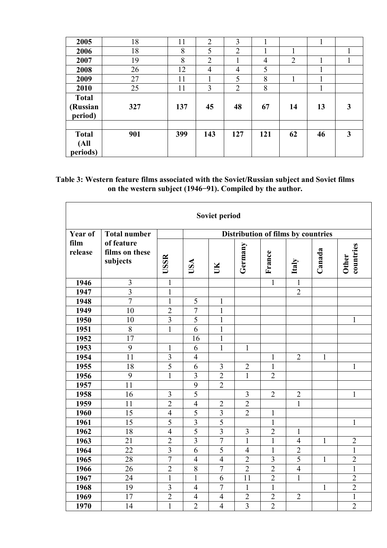| 2005                                | 18  | 11  | $\overline{2}$ | 3              | 1  |                | 1<br>1 |   |
|-------------------------------------|-----|-----|----------------|----------------|----|----------------|--------|---|
| 2006                                | 18  | 8   | 5              | $\overline{2}$ |    |                |        |   |
| 2007                                | 19  | 8   | $\overline{2}$ |                | 4  | $\overline{2}$ |        |   |
| 2008                                | 26  | 12  | 4              | 4              | 5  |                |        |   |
| 2009                                | 27  | 11  |                | 5              | 8  |                |        |   |
| 2010                                | 25  | 11  | 3              | $\overline{2}$ | 8  |                |        |   |
| <b>Total</b><br>(Russian<br>period) | 327 | 137 | 45             | 48             | 67 | 14             | 13     | 3 |
|                                     |     |     |                |                |    |                |        |   |
| <b>Total</b>                        |     |     |                |                |    | 62             |        | 3 |

# **Table 3: Western feature films associated with the Soviet/Russian subject and Soviet films on the western subject (1946−91). Compiled by the author.**

|                 | Soviet period                            |                |                                    |                         |                |                |                |              |                           |  |  |  |  |
|-----------------|------------------------------------------|----------------|------------------------------------|-------------------------|----------------|----------------|----------------|--------------|---------------------------|--|--|--|--|
| Year of         | <b>Total number</b>                      |                | Distribution of films by countries |                         |                |                |                |              |                           |  |  |  |  |
| film<br>release | of feature<br>films on these<br>subjects | USSR           | USA                                | $\overline{\mathbb{R}}$ | Germany        | France         | Italy          | Canada       | countries<br><b>Other</b> |  |  |  |  |
| 1946            | 3                                        | $\mathbf{1}$   |                                    |                         |                | $\mathbf{1}$   | 1              |              |                           |  |  |  |  |
| 1947            | $\overline{3}$                           | $\mathbf{1}$   |                                    |                         |                |                | $\overline{2}$ |              |                           |  |  |  |  |
| 1948            | $\overline{7}$                           | $\mathbf{1}$   | 5                                  | $\mathbf{1}$            |                |                |                |              |                           |  |  |  |  |
| 1949            | 10                                       | $\overline{2}$ | $\overline{7}$                     | $\mathbf{1}$            |                |                |                |              |                           |  |  |  |  |
| 1950            | 10                                       | $\overline{3}$ | $\overline{5}$                     | $\mathbf{1}$            |                |                |                |              | $\mathbf{1}$              |  |  |  |  |
| 1951            | $\overline{8}$                           | $\mathbf{1}$   | 6                                  | $\mathbf{1}$            |                |                |                |              |                           |  |  |  |  |
| 1952            | $\overline{17}$                          |                | 16                                 | $\mathbf{1}$            |                |                |                |              |                           |  |  |  |  |
| 1953            | 9                                        | $\mathbf{1}$   | 6                                  | $\mathbf{1}$            | $\mathbf{1}$   |                |                |              |                           |  |  |  |  |
| 1954            | 11                                       | $\overline{3}$ | $\overline{4}$                     |                         |                | $\mathbf{1}$   | $\overline{2}$ | $\mathbf{1}$ |                           |  |  |  |  |
| 1955            | 18                                       | $\overline{5}$ | $\overline{6}$                     | $\overline{3}$          | $\overline{2}$ | $\mathbf{1}$   |                |              | $\mathbf{1}$              |  |  |  |  |
| 1956            | 9                                        | $\mathbf{1}$   | 3                                  | $\overline{2}$          | $\mathbf{1}$   | $\overline{2}$ |                |              |                           |  |  |  |  |
| 1957            | 11                                       |                | 9                                  | $\overline{2}$          |                |                |                |              |                           |  |  |  |  |
| 1958            | 16                                       | $\overline{3}$ | $\overline{5}$                     |                         | $\overline{3}$ | $\overline{2}$ | $\overline{2}$ |              | $\mathbf{1}$              |  |  |  |  |
| 1959            | 11                                       | $\overline{2}$ | $\overline{4}$                     | $\overline{2}$          | $\overline{2}$ |                | $\mathbf{1}$   |              |                           |  |  |  |  |
| 1960            | 15                                       | $\overline{4}$ | $\overline{5}$                     | $\overline{3}$          | $\overline{2}$ | $\mathbf{1}$   |                |              |                           |  |  |  |  |
| 1961            | 15                                       | 5              | $\overline{\mathbf{3}}$            | $\overline{5}$          |                | $\mathbf{1}$   |                |              | $\mathbf{1}$              |  |  |  |  |
| 1962            | $\overline{18}$                          | $\overline{4}$ | $\overline{5}$                     | $\overline{3}$          | 3              | $\overline{2}$ | 1              |              |                           |  |  |  |  |
| 1963            | 21                                       | $\overline{2}$ | $\overline{3}$                     | $\overline{7}$          | $\mathbf{1}$   | $\mathbf{1}$   | $\overline{4}$ | $\mathbf{1}$ | $\overline{2}$            |  |  |  |  |
| 1964            | $\overline{22}$                          | $\overline{3}$ | 6                                  | $\overline{5}$          | $\overline{4}$ | $\mathbf{1}$   | $\overline{2}$ |              | $\mathbf{1}$              |  |  |  |  |
| 1965            | 28                                       | $\overline{7}$ | $\overline{4}$                     | $\overline{4}$          | $\overline{2}$ | $\overline{3}$ | $\overline{5}$ | $\mathbf{1}$ | $\overline{2}$            |  |  |  |  |
| 1966            | 26                                       | $\overline{2}$ | $\overline{8}$                     | $\overline{7}$          | $\overline{2}$ | $\overline{2}$ | $\overline{4}$ |              | $\mathbf{1}$              |  |  |  |  |
| 1967            | $\overline{24}$                          | $\mathbf{1}$   | $\mathbf{1}$                       | 6                       | 11             | $\overline{2}$ | $\mathbf{1}$   |              | $\overline{2}$            |  |  |  |  |
| 1968            | 19                                       | 3              | $\overline{4}$                     | $\overline{7}$          | 1              | $\mathbf{1}$   |                | $\mathbf{1}$ | $\overline{2}$            |  |  |  |  |
| 1969            | 17                                       | $\overline{2}$ | $\overline{4}$                     | $\overline{4}$          | $\overline{2}$ | $\overline{2}$ | $\overline{2}$ |              | $\mathbf{1}$              |  |  |  |  |
| 1970            | 14                                       | $\mathbf{1}$   | $\overline{2}$                     | $\overline{4}$          | $\overline{3}$ | $\overline{2}$ |                |              | $\overline{2}$            |  |  |  |  |